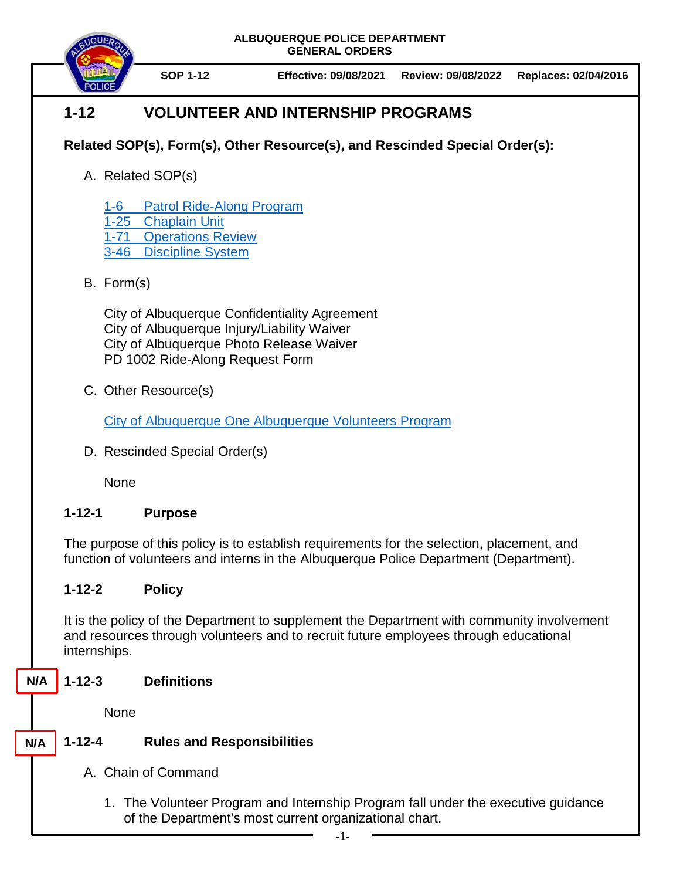**ALBUQUERQUE POLICE DEPARTMENT GENERAL ORDERS**



**SOP 1-12 Effective: 09/08/2021 Review: 09/08/2022 Replaces: 02/04/2016** 

# **1-12 VOLUNTEER AND INTERNSHIP PROGRAMS**

## **Related SOP(s), Form(s), Other Resource(s), and Rescinded Special Order(s):**

A. Related SOP(s)

1-6 [Patrol Ride-Along Program](https://powerdms.com/docs/452)

1-25 [Chaplain Unit](https://powerdms.com/docs/1644919)

1-71 [Operations Review](https://powerdms.com/docs/549)

3-46 [Discipline System](https://powerdms.com/docs/28)

## B. Form(s)

City of Albuquerque Confidentiality Agreement City of Albuquerque Injury/Liability Waiver City of Albuquerque Photo Release Waiver PD 1002 Ride-Along Request Form

C. Other Resource(s)

[City of Albuquerque One Albuquerque Volunteers Program](https://www.cabq.gov/abq-volunteers)

D. Rescinded Special Order(s)

None

## **1-12-1 Purpose**

The purpose of this policy is to establish requirements for the selection, placement, and function of volunteers and interns in the Albuquerque Police Department (Department).

#### **1-12-2 Policy**

It is the policy of the Department to supplement the Department with community involvement and resources through volunteers and to recruit future employees through educational internships.

#### **1-12-3 Definitions N/A**

None

**N/A**

## **1-12-4 Rules and Responsibilities**

- A. Chain of Command
	- 1. The Volunteer Program and Internship Program fall under the executive guidance of the Department's most current organizational chart.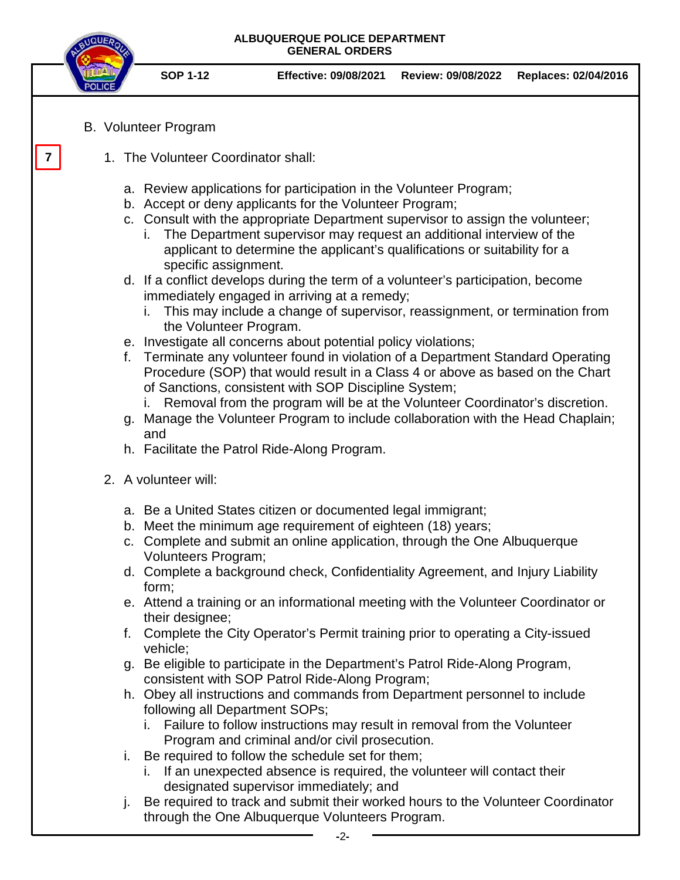#### **ALBUQUERQUE POLICE DEPARTMENT GENERAL ORDERS**

- **SOP 1-12 Effective: 09/08/2021 Review: 09/08/2022 Replaces: 02/04/2016**
- B. Volunteer Program

**7**

- 1. The Volunteer Coordinator shall:
	- a. Review applications for participation in the Volunteer Program;
	- b. Accept or deny applicants for the Volunteer Program;
	- c. Consult with the appropriate Department supervisor to assign the volunteer;
		- i. The Department supervisor may request an additional interview of the applicant to determine the applicant's qualifications or suitability for a specific assignment.
	- d. If a conflict develops during the term of a volunteer's participation, become immediately engaged in arriving at a remedy;
		- i. This may include a change of supervisor, reassignment, or termination from the Volunteer Program.
	- e. Investigate all concerns about potential policy violations;
	- f. Terminate any volunteer found in violation of a Department Standard Operating Procedure (SOP) that would result in a Class 4 or above as based on the Chart of Sanctions, consistent with SOP Discipline System;
		- i. Removal from the program will be at the Volunteer Coordinator's discretion.
	- g. Manage the Volunteer Program to include collaboration with the Head Chaplain; and
	- h. Facilitate the Patrol Ride-Along Program.
- 2. A volunteer will:
	- a. Be a United States citizen or documented legal immigrant;
	- b. Meet the minimum age requirement of eighteen (18) years;
	- c. Complete and submit an online application, through the One Albuquerque Volunteers Program;
	- d. Complete a background check, Confidentiality Agreement, and Injury Liability form;
	- e. Attend a training or an informational meeting with the Volunteer Coordinator or their designee;
	- f. Complete the City Operator's Permit training prior to operating a City-issued vehicle;
	- g. Be eligible to participate in the Department's Patrol Ride-Along Program, consistent with SOP Patrol Ride-Along Program;
	- h. Obey all instructions and commands from Department personnel to include following all Department SOPs;
		- i. Failure to follow instructions may result in removal from the Volunteer Program and criminal and/or civil prosecution.
	- i. Be required to follow the schedule set for them;
		- i. If an unexpected absence is required, the volunteer will contact their designated supervisor immediately; and
	- j. Be required to track and submit their worked hours to the Volunteer Coordinator through the One Albuquerque Volunteers Program.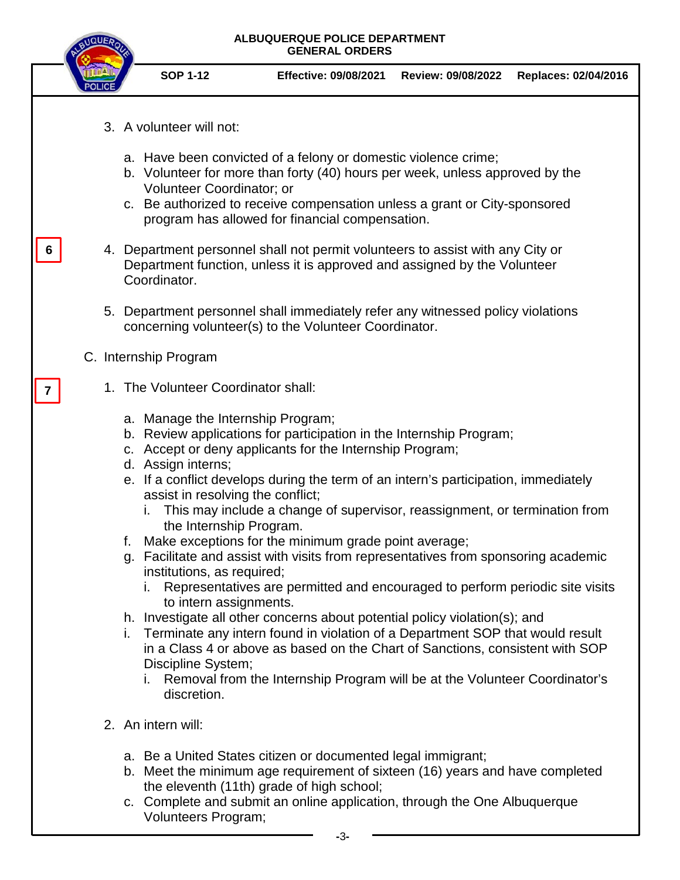|   |  |  |                                                                                                                                                                                                                                  | ALBUQUERQUE POLICE DEPARTMENT<br><b>GENERAL ORDERS</b>                                                                                                                                                                                                                                                                                                                                                                                                                                                                                                                                                                                                                                                                                                                                                                                                              |                    |                      |  |
|---|--|--|----------------------------------------------------------------------------------------------------------------------------------------------------------------------------------------------------------------------------------|---------------------------------------------------------------------------------------------------------------------------------------------------------------------------------------------------------------------------------------------------------------------------------------------------------------------------------------------------------------------------------------------------------------------------------------------------------------------------------------------------------------------------------------------------------------------------------------------------------------------------------------------------------------------------------------------------------------------------------------------------------------------------------------------------------------------------------------------------------------------|--------------------|----------------------|--|
|   |  |  | <b>SOP 1-12</b>                                                                                                                                                                                                                  | <b>Effective: 09/08/2021</b>                                                                                                                                                                                                                                                                                                                                                                                                                                                                                                                                                                                                                                                                                                                                                                                                                                        | Review: 09/08/2022 | Replaces: 02/04/2016 |  |
|   |  |  | 3. A volunteer will not:                                                                                                                                                                                                         |                                                                                                                                                                                                                                                                                                                                                                                                                                                                                                                                                                                                                                                                                                                                                                                                                                                                     |                    |                      |  |
|   |  |  |                                                                                                                                                                                                                                  | a. Have been convicted of a felony or domestic violence crime;<br>b. Volunteer for more than forty (40) hours per week, unless approved by the<br>Volunteer Coordinator; or<br>c. Be authorized to receive compensation unless a grant or City-sponsored<br>program has allowed for financial compensation.                                                                                                                                                                                                                                                                                                                                                                                                                                                                                                                                                         |                    |                      |  |
| 6 |  |  | Coordinator.                                                                                                                                                                                                                     | 4. Department personnel shall not permit volunteers to assist with any City or<br>Department function, unless it is approved and assigned by the Volunteer                                                                                                                                                                                                                                                                                                                                                                                                                                                                                                                                                                                                                                                                                                          |                    |                      |  |
|   |  |  | 5. Department personnel shall immediately refer any witnessed policy violations<br>concerning volunteer(s) to the Volunteer Coordinator.                                                                                         |                                                                                                                                                                                                                                                                                                                                                                                                                                                                                                                                                                                                                                                                                                                                                                                                                                                                     |                    |                      |  |
|   |  |  | C. Internship Program                                                                                                                                                                                                            |                                                                                                                                                                                                                                                                                                                                                                                                                                                                                                                                                                                                                                                                                                                                                                                                                                                                     |                    |                      |  |
|   |  |  | 1. The Volunteer Coordinator shall:                                                                                                                                                                                              |                                                                                                                                                                                                                                                                                                                                                                                                                                                                                                                                                                                                                                                                                                                                                                                                                                                                     |                    |                      |  |
|   |  |  | a. Manage the Internship Program;<br>d. Assign interns;<br>assist in resolving the conflict;<br>the Internship Program.<br>f.<br>institutions, as required;<br>to intern assignments.<br>i.<br>Discipline System;<br>discretion. | b. Review applications for participation in the Internship Program;<br>c. Accept or deny applicants for the Internship Program;<br>e. If a conflict develops during the term of an intern's participation, immediately<br>This may include a change of supervisor, reassignment, or termination from<br>Make exceptions for the minimum grade point average;<br>g. Facilitate and assist with visits from representatives from sponsoring academic<br>Representatives are permitted and encouraged to perform periodic site visits<br>h. Investigate all other concerns about potential policy violation(s); and<br>Terminate any intern found in violation of a Department SOP that would result<br>in a Class 4 or above as based on the Chart of Sanctions, consistent with SOP<br>i. Removal from the Internship Program will be at the Volunteer Coordinator's |                    |                      |  |
|   |  |  | 2. An intern will:                                                                                                                                                                                                               |                                                                                                                                                                                                                                                                                                                                                                                                                                                                                                                                                                                                                                                                                                                                                                                                                                                                     |                    |                      |  |
|   |  |  | Volunteers Program;                                                                                                                                                                                                              | a. Be a United States citizen or documented legal immigrant;<br>b. Meet the minimum age requirement of sixteen (16) years and have completed<br>the eleventh (11th) grade of high school;<br>c. Complete and submit an online application, through the One Albuquerque                                                                                                                                                                                                                                                                                                                                                                                                                                                                                                                                                                                              |                    |                      |  |

**7**